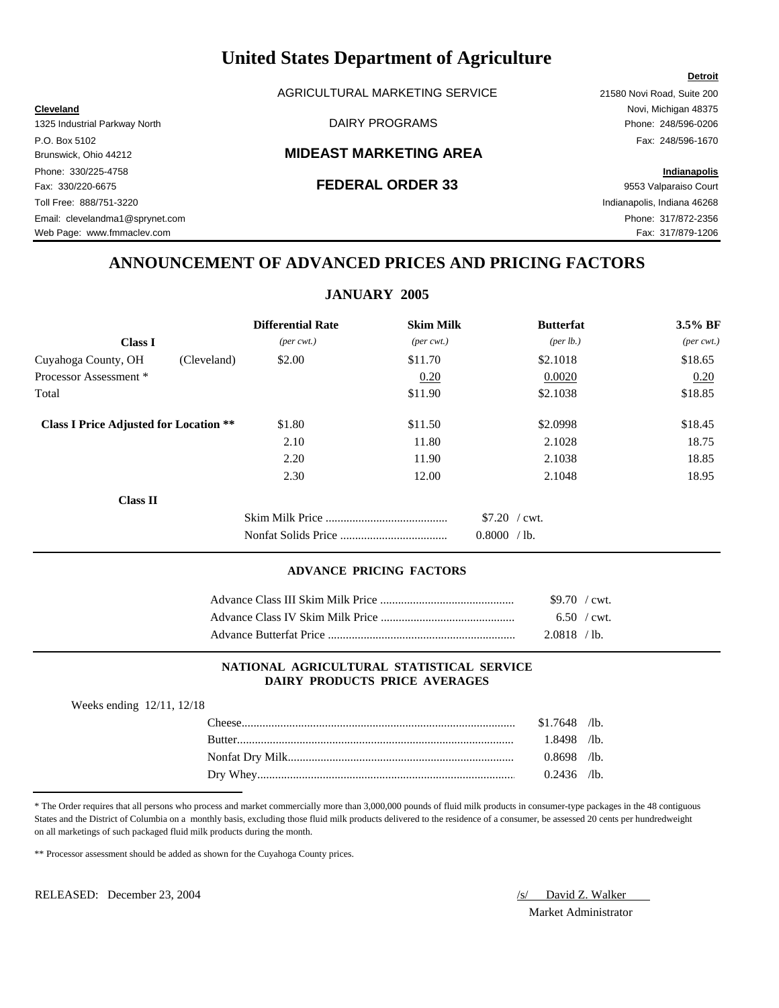AGRICULTURAL MARKETING SERVICE 21580 Novi Road, Suite 200

# Brunswick, Ohio 44212 **MIDEAST MARKETING AREA**

# Fax: 330/220-6675 **FEDERAL ORDER 33** 9553 Valparaiso Court

**Cleveland** Novi, Michigan 48375

# **ANNOUNCEMENT OF ADVANCED PRICES AND PRICING FACTORS**

# **JANUARY 2005**

|                                               | <b>Differential Rate</b>    | <b>Skim Milk</b>            | <b>Butterfat</b>   | 3.5% BF                     |
|-----------------------------------------------|-----------------------------|-----------------------------|--------------------|-----------------------------|
| <b>Class I</b>                                | $(\text{per} \text{ cwt.})$ | $(\text{per} \text{ cwt.})$ | $(\text{per lb.})$ | $(\text{per} \text{ cwt.})$ |
| Cuyahoga County, OH<br>(Cleveland)            | \$2.00                      | \$11.70                     | \$2.1018           | \$18.65                     |
| Processor Assessment *                        |                             | 0.20                        | 0.0020             | 0.20                        |
| Total                                         |                             | \$11.90                     | \$2.1038           | \$18.85                     |
| <b>Class I Price Adjusted for Location **</b> | \$1.80                      | \$11.50                     | \$2.0998           | \$18.45                     |
|                                               | 2.10                        | 11.80                       | 2.1028             | 18.75                       |
|                                               | 2.20                        | 11.90                       | 2.1038             | 18.85                       |
|                                               | 2.30                        | 12.00                       | 2.1048             | 18.95                       |
| <b>Class II</b>                               |                             |                             |                    |                             |
|                                               |                             |                             | $$7.20$ / cwt.     |                             |
|                                               |                             |                             | 0.8000<br>$/1b$ .  |                             |

### **ADVANCE PRICING FACTORS**

| $$9.70$ / cwt. |  |
|----------------|--|
| 6.50 / cwt.    |  |
| $2.0818$ /lb.  |  |

# **NATIONAL AGRICULTURAL STATISTICAL SERVICE DAIRY PRODUCTS PRICE AVERAGES**

| Weeks ending 12/11, 12/18 |                |  |
|---------------------------|----------------|--|
|                           | $$1.7648$ /lb. |  |
| Rutter                    | l.8498 /lb.    |  |
|                           | $0.8698$ /lb.  |  |
|                           | $0.2436$ /lb.  |  |

\* The Order requires that all persons who process and market commercially more than 3,000,000 pounds of fluid milk products in consumer-type packages in the 48 contiguous States and the District of Columbia on a monthly basis, excluding those fluid milk products delivered to the residence of a consumer, be assessed 20 cents per hundredweight on all marketings of such packaged fluid milk products during the month.

\*\* Processor assessment should be added as shown for the Cuyahoga County prices.

RELEASED: December 23, 2004 *S/ David Z. Walker* 

Market Administrator

**Detroit**

1325 Industrial Parkway North DAIRY PROGRAMS Phone: 248/596-0206 P.O. Box 5102 Fax: 248/596-1670 Phone: 330/225-4758 **Indianapolis** Toll Free: 888/751-3220 Indianapolis, Indiana 46268 Email: clevelandma1@sprynet.com Phone: 317/872-2356

Web Page: www.fmmaclev.com example of the community of the community of the community of the community of the community of the community of the community of the community of the community of the community of the community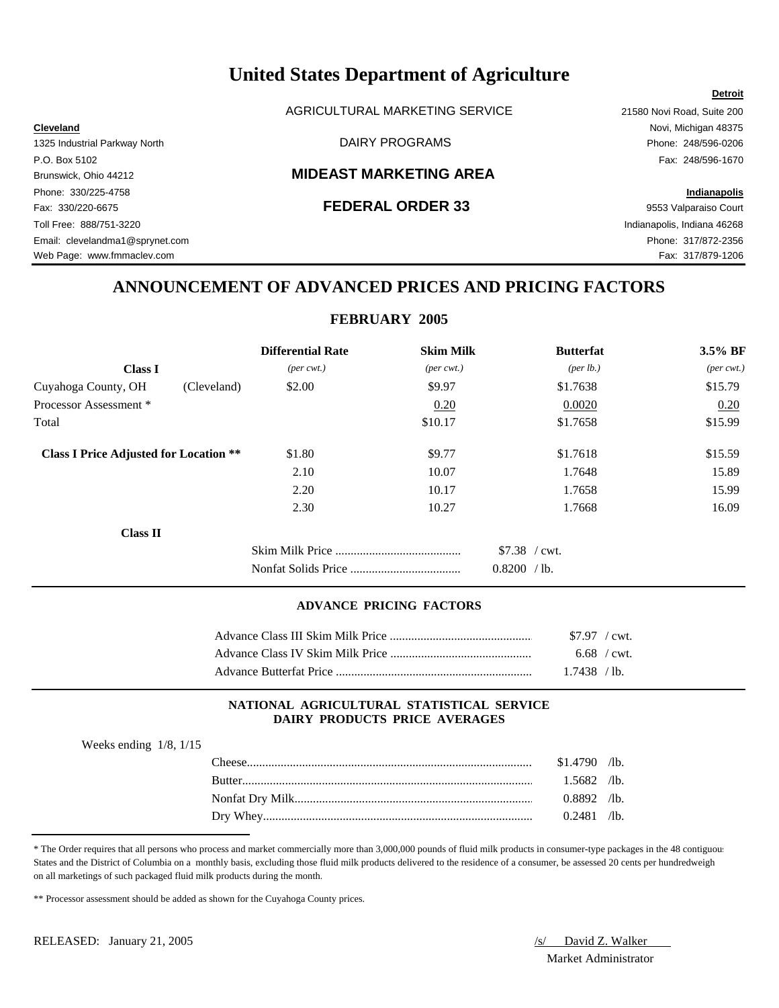AGRICULTURAL MARKETING SERVICE 21580 Novi Road, Suite 200

# Brunswick, Ohio 44212 **MIDEAST MARKETING AREA**

Phone: 330/225-4758 **Indianapolis** Fax: 330/220-6675 **FEDERAL ORDER 33** 9553 Valparaiso Court Toll Free: 888/751-3220 Indianapolis, Indiana 46268 Email: clevelandma1@sprynet.com Phone: 317/872-2356 Web Page: www.fmmaclev.com **Fax: 317/879-1206** 

**Cleveland** Novi, Michigan 48375 1325 Industrial Parkway North **Example 248/596-0206** DAIRY PROGRAMS **Phone: 248/596-0206** P.O. Box 5102 Fax: 248/596-1670

**Detroit**

# **ANNOUNCEMENT OF ADVANCED PRICES AND PRICING FACTORS**

# **FEBRUARY 2005**

|                                               |             | <b>Differential Rate</b>    | <b>Skim Milk</b>            | <b>Butterfat</b>                    | 3.5% BF                     |
|-----------------------------------------------|-------------|-----------------------------|-----------------------------|-------------------------------------|-----------------------------|
| <b>Class I</b>                                |             | $(\text{per} \text{ cwt.})$ | $(\text{per} \text{ cwt.})$ | (per lb.)                           | $(\text{per} \text{ cwt.})$ |
| Cuyahoga County, OH                           | (Cleveland) | \$2.00                      | \$9.97                      | \$1.7638                            | \$15.79                     |
| Processor Assessment *                        |             |                             | 0.20                        | 0.0020                              | 0.20                        |
| Total                                         |             |                             | \$10.17                     | \$1.7658                            | \$15.99                     |
| <b>Class I Price Adjusted for Location **</b> |             | \$1.80                      | \$9.77                      | \$1.7618                            | \$15.59                     |
|                                               |             | 2.10                        | 10.07                       | 1.7648                              | 15.89                       |
|                                               |             | 2.20                        | 10.17                       | 1.7658                              | 15.99                       |
|                                               |             | 2.30                        | 10.27                       | 1.7668                              | 16.09                       |
| <b>Class II</b>                               |             |                             |                             |                                     |                             |
|                                               |             |                             |                             | $$7.38$ / cwt.<br>0.8200<br>$/$ lb. |                             |

# **ADVANCE PRICING FACTORS**

| $$7.97$ / cwt. |  |
|----------------|--|
| $6.68$ / cwt.  |  |
| 1.7438 / lb.   |  |

# **NATIONAL AGRICULTURAL STATISTICAL SERVICE DAIRY PRODUCTS PRICE AVERAGES**

| Weeks ending $1/8$ , $1/15$ |  |  |  |
|-----------------------------|--|--|--|
|-----------------------------|--|--|--|

| `heese        | .4790  | $\sqrt{1}$ b. |
|---------------|--------|---------------|
| <b>Butter</b> | .5682  | $\sqrt{1}$ b. |
|               | 0.8892 | $\sqrt{1}$ b. |
| Drv.          | 2481   | $\sqrt{1}$    |

\* The Order requires that all persons who process and market commercially more than 3,000,000 pounds of fluid milk products in consumer-type packages in the 48 contiguous States and the District of Columbia on a monthly basis, excluding those fluid milk products delivered to the residence of a consumer, be assessed 20 cents per hundredweight on all marketings of such packaged fluid milk products during the month.

\*\* Processor assessment should be added as shown for the Cuyahoga County prices.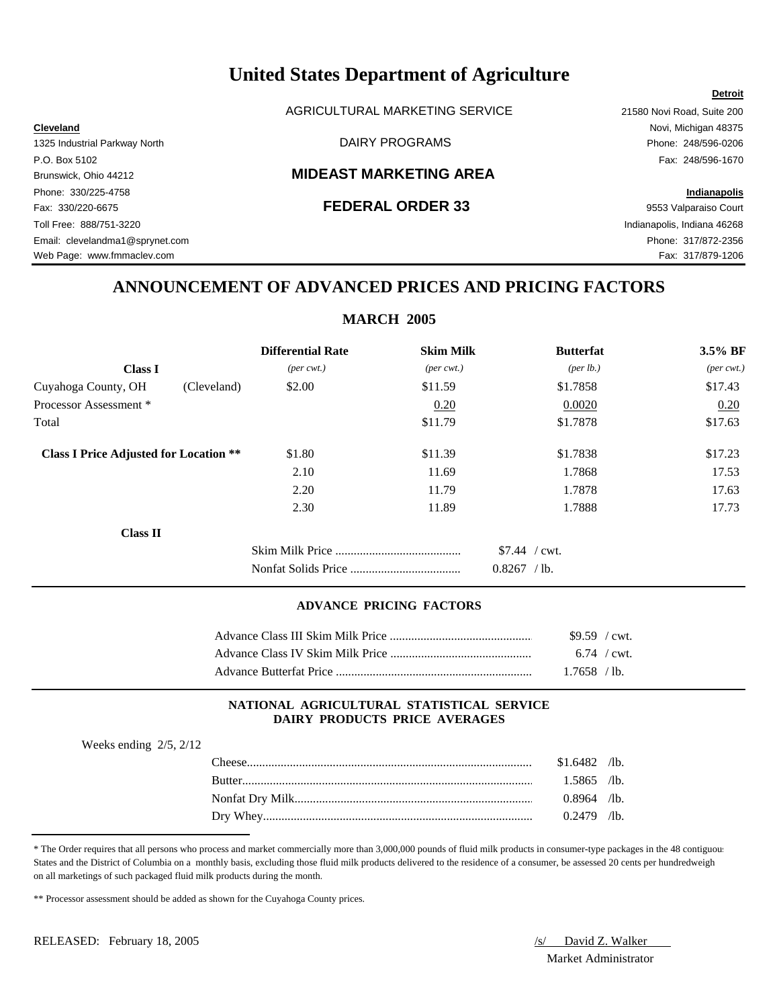AGRICULTURAL MARKETING SERVICE 21580 Novi Road, Suite 200

# Brunswick, Ohio 44212 **MIDEAST MARKETING AREA**

Phone: 330/225-4758 **Indianapolis** Fax: 330/220-6675 **FEDERAL ORDER 33** 9553 Valparaiso Court Toll Free: 888/751-3220 Indianapolis, Indiana 46268 Email: clevelandma1@sprynet.com Phone: 317/872-2356 Web Page: www.fmmaclev.com **Fax: 317/879-1206** 

**Cleveland** Novi, Michigan 48375 1325 Industrial Parkway North DAIRY PROGRAMS Phone: 248/596-0206 P.O. Box 5102 Fax: 248/596-1670

**Detroit**

# **ANNOUNCEMENT OF ADVANCED PRICES AND PRICING FACTORS**

# **MARCH 2005**

|                                               |             | <b>Differential Rate</b>    | <b>Skim Milk</b>            | <b>Butterfat</b>                | 3.5% BF                     |
|-----------------------------------------------|-------------|-----------------------------|-----------------------------|---------------------------------|-----------------------------|
| <b>Class I</b>                                |             | $(\text{per} \text{ cwt.})$ | $(\text{per} \text{ cwt.})$ | (per lb.)                       | $(\text{per} \text{ cwt.})$ |
| Cuyahoga County, OH                           | (Cleveland) | \$2.00                      | \$11.59                     | \$1.7858                        | \$17.43                     |
| Processor Assessment *                        |             |                             | 0.20                        | 0.0020                          | 0.20                        |
| Total                                         |             |                             | \$11.79                     | \$1.7878                        | \$17.63                     |
| <b>Class I Price Adjusted for Location **</b> |             | \$1.80                      | \$11.39                     | \$1.7838                        | \$17.23                     |
|                                               |             | 2.10                        | 11.69                       | 1.7868                          | 17.53                       |
|                                               |             | 2.20                        | 11.79                       | 1.7878                          | 17.63                       |
|                                               |             | 2.30                        | 11.89                       | 1.7888                          | 17.73                       |
| <b>Class II</b>                               |             |                             |                             |                                 |                             |
|                                               |             |                             |                             | $$7.44$ / cwt.<br>$0.8267$ /lb. |                             |

## **ADVANCE PRICING FACTORS**

| \$9.59 / cwt. |  |
|---------------|--|
| $6.74$ / cwt. |  |
| $1.7658$ /lb. |  |

## **NATIONAL AGRICULTURAL STATISTICAL SERVICE DAIRY PRODUCTS PRICE AVERAGES**

| Weeks ending $2/5$ , $2/12$ |                      |       |               |
|-----------------------------|----------------------|-------|---------------|
|                             | <b>CHI</b><br>`heese | .6482 | $\sqrt{1}$ b. |
|                             | Ruttor               | 5865  | $\sqrt{1}h$   |

|          | 91.0702 | 110.          |
|----------|---------|---------------|
| Butter   | .5865   | $\sqrt{1}$ b. |
|          | 0.8964  | $\sqrt{1}$ b. |
| Dry Whey | 0.2479  | $\sqrt{1}$ b. |

\* The Order requires that all persons who process and market commercially more than 3,000,000 pounds of fluid milk products in consumer-type packages in the 48 contiguous States and the District of Columbia on a monthly basis, excluding those fluid milk products delivered to the residence of a consumer, be assessed 20 cents per hundredweight on all marketings of such packaged fluid milk products during the month.

\*\* Processor assessment should be added as shown for the Cuyahoga County prices.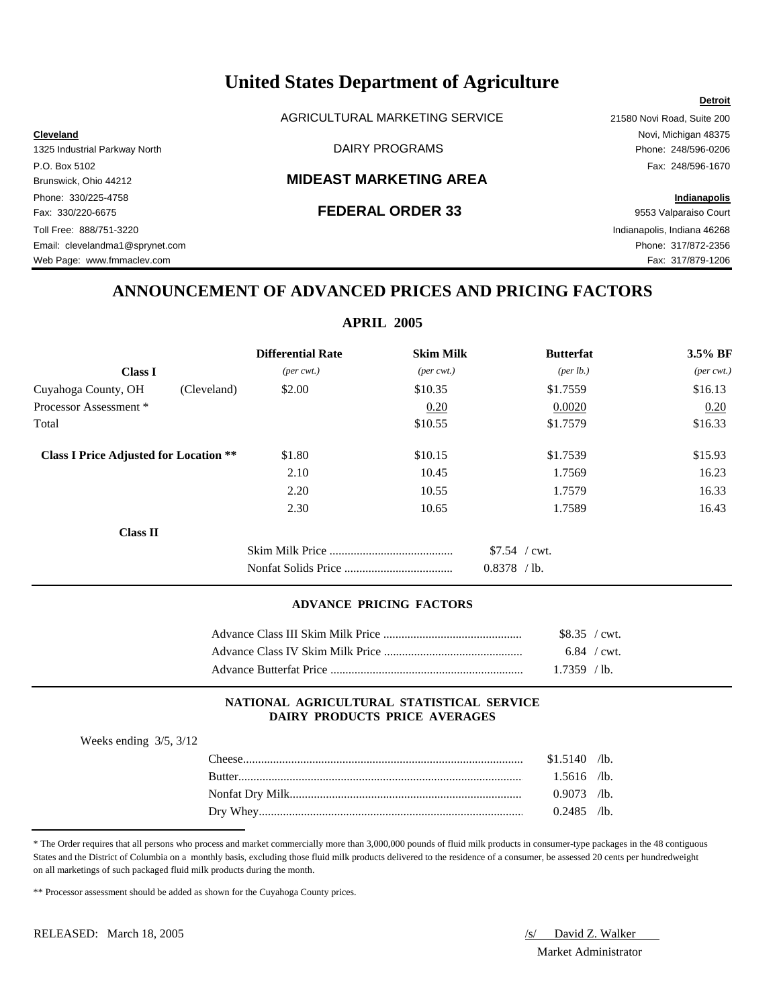AGRICULTURAL MARKETING SERVICE 21580 Novi Road, Suite 200

# Brunswick, Ohio 44212 **MIDEAST MARKETING AREA**

Phone: 330/225-4758 **Indianapolis** Fax: 330/220-6675 **FEDERAL ORDER 33** 9553 Valparaiso Court Toll Free: 888/751-3220 Indianapolis, Indiana 46268 Email: clevelandma1@sprynet.com Phone: 317/872-2356 Web Page: www.fmmaclev.com example of the example of the example of the example of the example of the example of the example of the example of the example of the example of the example of the example of the example of the

**Cleveland** Novi, Michigan 48375 1325 Industrial Parkway North DAIRY PROGRAMS Phone: 248/596-0206 P.O. Box 5102 Fax: 248/596-1670

**Detroit**

# **ANNOUNCEMENT OF ADVANCED PRICES AND PRICING FACTORS**

# **APRIL 2005**

|                                               |             | <b>Differential Rate</b>    | <b>Skim Milk</b>            | <b>Butterfat</b>   | $3.5\%$ BF                  |
|-----------------------------------------------|-------------|-----------------------------|-----------------------------|--------------------|-----------------------------|
| <b>Class I</b>                                |             | $(\text{per} \text{ cwt.})$ | $(\text{per} \text{ cwt.})$ | $(\text{per lb.})$ | $(\text{per} \text{ cwt.})$ |
| Cuyahoga County, OH                           | (Cleveland) | \$2.00                      | \$10.35                     | \$1.7559           | \$16.13                     |
| Processor Assessment *                        |             |                             | 0.20                        | 0.0020             | 0.20                        |
| Total                                         |             |                             | \$10.55                     | \$1.7579           | \$16.33                     |
| <b>Class I Price Adjusted for Location **</b> |             | \$1.80                      | \$10.15                     | \$1.7539           | \$15.93                     |
|                                               |             | 2.10                        | 10.45                       | 1.7569             | 16.23                       |
|                                               |             | 2.20                        | 10.55                       | 1.7579             | 16.33                       |
|                                               |             | 2.30                        | 10.65                       | 1.7589             | 16.43                       |
| <b>Class II</b>                               |             |                             |                             |                    |                             |
|                                               |             |                             |                             | $$7.54$ / cwt.     |                             |
|                                               |             |                             |                             | $0.8378$ /lb.      |                             |

### **ADVANCE PRICING FACTORS**

| \$8.35 / cwt. |
|---------------|
| $6.84$ / cwt. |
| $1.7359$ /lb. |

## **NATIONAL AGRICULTURAL STATISTICAL SERVICE DAIRY PRODUCTS PRICE AVERAGES**

Weeks ending 3/5, 3/12

| $The \epsilon$ | \$1.5140 | $\sqrt{1}$ b. |
|----------------|----------|---------------|
| <b>Butter</b>  | .5616    | $\sqrt{1}$ b. |
|                | .9073    | $\sqrt{1}$ b. |
| Whey<br>Drv.   | 2485     | $\sqrt{1}$ b. |

<sup>\*</sup> The Order requires that all persons who process and market commercially more than 3,000,000 pounds of fluid milk products in consumer-type packages in the 48 contiguous States and the District of Columbia on a monthly basis, excluding those fluid milk products delivered to the residence of a consumer, be assessed 20 cents per hundredweight on all marketings of such packaged fluid milk products during the month.

\*\* Processor assessment should be added as shown for the Cuyahoga County prices.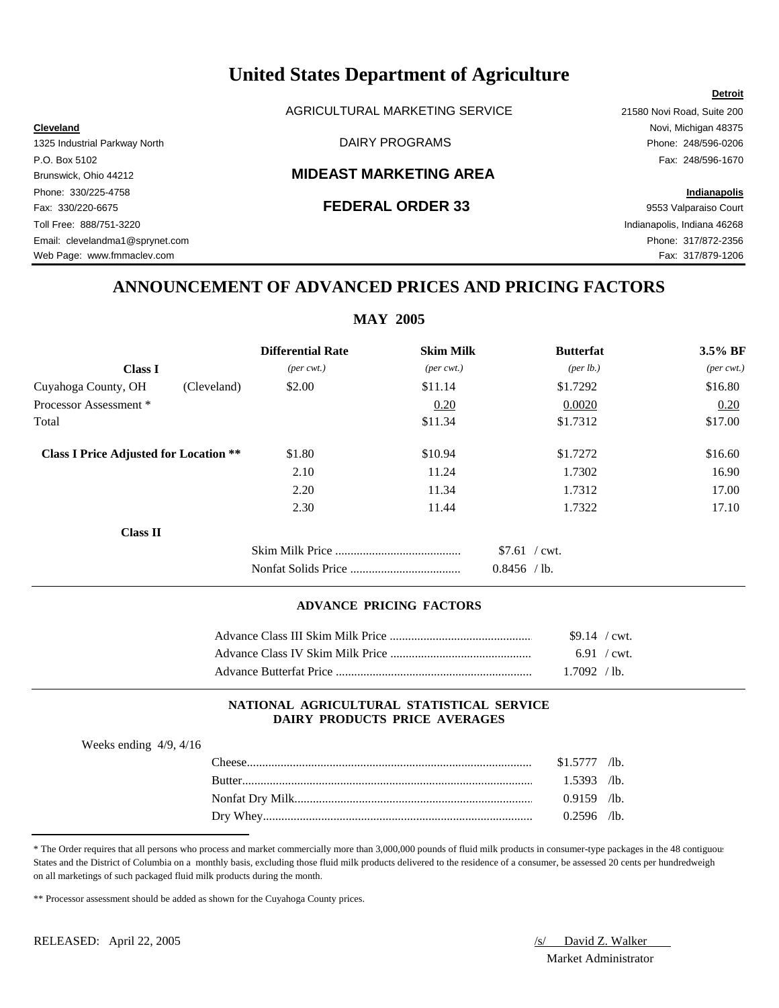AGRICULTURAL MARKETING SERVICE 21580 Novi Road, Suite 200

# Brunswick, Ohio 44212 **MIDEAST MARKETING AREA**

Fax: 330/220-6675 **FEDERAL ORDER 33** 9553 Valparaiso Court Toll Free: 888/751-3220 Indianapolis, Indiana 46268 Email: clevelandma1@sprynet.com Phone: 317/872-2356 Web Page: www.fmmaclev.com Fax: 317/879-1206

**Cleveland** Novi, Michigan 48375 1325 Industrial Parkway North DAIRY PROGRAMS Phone: 248/596-0206 P.O. Box 5102 Fax: 248/596-1670

**Detroit**

# Phone: 330/225-4758 **Indianapolis**

# **ANNOUNCEMENT OF ADVANCED PRICES AND PRICING FACTORS**

# **MAY 2005**

|                                               | <b>Differential Rate</b>    | <b>Skim Milk</b>            | <b>Butterfat</b>                    | $3.5\%$ BF                  |
|-----------------------------------------------|-----------------------------|-----------------------------|-------------------------------------|-----------------------------|
| <b>Class I</b>                                | $(\text{per} \text{ cwt.})$ | $(\text{per} \text{ cwt.})$ | (per lb.)                           | $(\text{per} \text{ cwt.})$ |
| Cuyahoga County, OH<br>(Cleveland)            | \$2.00                      | \$11.14                     | \$1.7292                            | \$16.80                     |
| Processor Assessment *                        |                             | 0.20                        | 0.0020                              | 0.20                        |
| Total                                         |                             | \$11.34                     | \$1.7312                            | \$17.00                     |
| <b>Class I Price Adjusted for Location **</b> | \$1.80                      | \$10.94                     | \$1.7272                            | \$16.60                     |
|                                               | 2.10                        | 11.24                       | 1.7302                              | 16.90                       |
|                                               | 2.20                        | 11.34                       | 1.7312                              | 17.00                       |
|                                               | 2.30                        | 11.44                       | 1.7322                              | 17.10                       |
| <b>Class II</b>                               |                             |                             |                                     |                             |
|                                               |                             |                             | $$7.61$ / cwt.<br>0.8456<br>$/$ lb. |                             |

## **ADVANCE PRICING FACTORS**

| $$9.14$ / cwt. |  |
|----------------|--|
| $6.91$ / cwt.  |  |
| .7092 / lb.    |  |

## **NATIONAL AGRICULTURAL STATISTICAL SERVICE DAIRY PRODUCTS PRICE AVERAGES**

| Weeks ending $4/9$ , $4/16$ |                                                                                                                |        |                 |
|-----------------------------|----------------------------------------------------------------------------------------------------------------|--------|-----------------|
|                             |                                                                                                                | ر      | $\sqrt{1}$ b.   |
|                             | Butter and the contract of the contract of the contract of the contract of the contract of the contract of the | 1 5393 | /1 <sub>h</sub> |

| . AIGCSC.     | 91.911 | 71U.          |
|---------------|--------|---------------|
| <b>Butter</b> | .5393  | $\sqrt{1}$ b. |
|               | 0.9159 | $\sqrt{1}$ b. |
| Dry Whey.     | 0.2596 | $\sqrt{1}$ b. |

\* The Order requires that all persons who process and market commercially more than 3,000,000 pounds of fluid milk products in consumer-type packages in the 48 contiguous States and the District of Columbia on a monthly basis, excluding those fluid milk products delivered to the residence of a consumer, be assessed 20 cents per hundredweight on all marketings of such packaged fluid milk products during the month.

\*\* Processor assessment should be added as shown for the Cuyahoga County prices.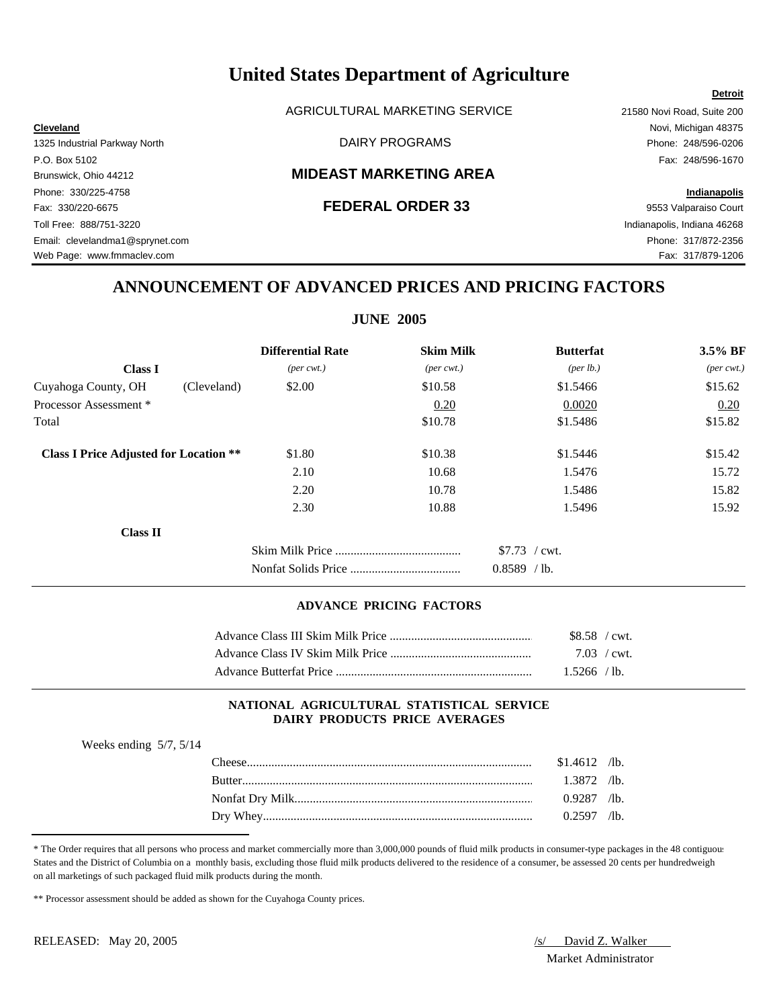AGRICULTURAL MARKETING SERVICE 21580 Novi Road, Suite 200

# Brunswick, Ohio 44212 **MIDEAST MARKETING AREA**

Phone: 330/225-4758 **Indianapolis** Fax: 330/220-6675 **FEDERAL ORDER 33** 9553 Valparaiso Court Toll Free: 888/751-3220 Indianapolis, Indiana 46268 Email: clevelandma1@sprynet.com Phone: 317/872-2356 Web Page: www.fmmaclev.com Fax: 317/879-1206

**Cleveland** Novi, Michigan 48375 1325 Industrial Parkway North DAIRY PROGRAMS Phone: 248/596-0206 P.O. Box 5102 Fax: 248/596-1670

**Detroit**

# **ANNOUNCEMENT OF ADVANCED PRICES AND PRICING FACTORS**

# **JUNE 2005**

|                                               |             | <b>Differential Rate</b>    | <b>Skim Milk</b>            | <b>Butterfat</b>                    | 3.5% BF                     |
|-----------------------------------------------|-------------|-----------------------------|-----------------------------|-------------------------------------|-----------------------------|
| <b>Class I</b>                                |             | $(\text{per} \text{ cwt.})$ | $(\text{per} \text{ cwt.})$ | (per lb.)                           | $(\text{per} \text{ cwt.})$ |
| Cuyahoga County, OH                           | (Cleveland) | \$2.00                      | \$10.58                     | \$1.5466                            | \$15.62                     |
| Processor Assessment *                        |             |                             | 0.20                        | 0.0020                              | 0.20                        |
| Total                                         |             |                             | \$10.78                     | \$1.5486                            | \$15.82                     |
| <b>Class I Price Adjusted for Location **</b> |             | \$1.80                      | \$10.38                     | \$1.5446                            | \$15.42                     |
|                                               |             | 2.10                        | 10.68                       | 1.5476                              | 15.72                       |
|                                               |             | 2.20                        | 10.78                       | 1.5486                              | 15.82                       |
|                                               |             | 2.30                        | 10.88                       | 1.5496                              | 15.92                       |
| <b>Class II</b>                               |             |                             |                             |                                     |                             |
|                                               |             |                             |                             | $$7.73$ / cwt.<br>0.8589<br>$/$ lb. |                             |

## **ADVANCE PRICING FACTORS**

| $$8.58 / \text{cwt}$  |  |
|-----------------------|--|
| $7.03 / \text{cwt}$ . |  |
| 1.5266 / lb.          |  |

## **NATIONAL AGRICULTURAL STATISTICAL SERVICE DAIRY PRODUCTS PRICE AVERAGES**

| Weeks ending $5/7$ , $5/14$ |                |            |
|-----------------------------|----------------|------------|
|                             | $$1.4612$ /lb. |            |
|                             | l.3872 /lb.    |            |
|                             | $0.9287$ /lb.  |            |
|                             |                | $\sqrt{2}$ |

\* The Order requires that all persons who process and market commercially more than 3,000,000 pounds of fluid milk products in consumer-type packages in the 48 contiguous States and the District of Columbia on a monthly basis, excluding those fluid milk products delivered to the residence of a consumer, be assessed 20 cents per hundredweight on all marketings of such packaged fluid milk products during the month.

\*\* Processor assessment should be added as shown for the Cuyahoga County prices.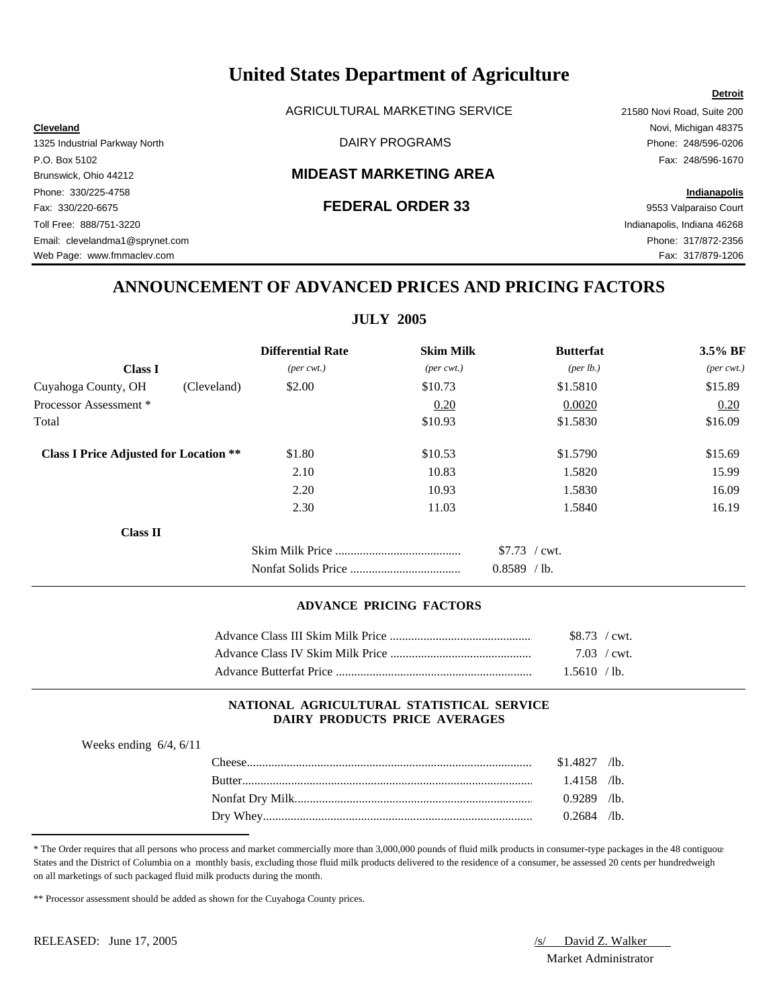AGRICULTURAL MARKETING SERVICE 21580 Novi Road, Suite 200

# Brunswick, Ohio 44212 **MIDEAST MARKETING AREA**

Fax: 330/220-6675 **FEDERAL ORDER 33** 9553 Valparaiso Court Toll Free: 888/751-3220 Indianapolis, Indiana 46268 Email: clevelandma1@sprynet.com Phone: 317/872-2356 Web Page: www.fmmaclev.com Fax: 317/879-1206

**Cleveland** Novi, Michigan 48375 1325 Industrial Parkway North DAIRY PROGRAMS Phone: 248/596-0206 P.O. Box 5102 Fax: 248/596-1670

**Detroit**

# Phone: 330/225-4758 **Indianapolis**

# **ANNOUNCEMENT OF ADVANCED PRICES AND PRICING FACTORS**

# **JULY 2005**

|                                               | <b>Differential Rate</b>    | <b>Skim Milk</b>            | <b>Butterfat</b>                    | 3.5% BF                     |
|-----------------------------------------------|-----------------------------|-----------------------------|-------------------------------------|-----------------------------|
| <b>Class I</b>                                | $(\text{per} \text{ cwt.})$ | $(\text{per} \text{ cwt.})$ | ${\rm (per \, lb.)}$                | $(\text{per} \text{ cwt.})$ |
| Cuyahoga County, OH                           | (Cleveland)<br>\$2.00       | \$10.73                     | \$1.5810                            | \$15.89                     |
| Processor Assessment *                        |                             | 0.20                        | 0.0020                              | 0.20                        |
| Total                                         |                             | \$10.93                     | \$1.5830                            | \$16.09                     |
| <b>Class I Price Adjusted for Location **</b> | \$1.80                      | \$10.53                     | \$1.5790                            | \$15.69                     |
|                                               | 2.10                        | 10.83                       | 1.5820                              | 15.99                       |
|                                               | 2.20                        | 10.93                       | 1.5830                              | 16.09                       |
|                                               | 2.30                        | 11.03                       | 1.5840                              | 16.19                       |
| <b>Class II</b>                               |                             |                             |                                     |                             |
|                                               |                             |                             | $$7.73$ / cwt.<br>0.8589<br>$/$ lb. |                             |

## **ADVANCE PRICING FACTORS**

| $$8.73$ / cwt.      |  |
|---------------------|--|
| $7.03 / \text{cwt}$ |  |
| 1.5610 /lb.         |  |

## **NATIONAL AGRICULTURAL STATISTICAL SERVICE DAIRY PRODUCTS PRICE AVERAGES**

| Weeks ending $6/4$ , $6/11$ |        |                |  |
|-----------------------------|--------|----------------|--|
|                             |        | $$1.4827$ /lb. |  |
|                             | Rutter | $1.4158$ /lb.  |  |

| Kut                                | Эð                | /lb.             |
|------------------------------------|-------------------|------------------|
| Nonfat Drv<br>Milk                 | 0000<br>$\lambda$ | /lb.             |
| <b>XX71</b><br>Drv<br>$\mathbf{u}$ | 1601              | $\mathcal{A}$ b. |

\* The Order requires that all persons who process and market commercially more than 3,000,000 pounds of fluid milk products in consumer-type packages in the 48 contiguous States and the District of Columbia on a monthly basis, excluding those fluid milk products delivered to the residence of a consumer, be assessed 20 cents per hundredweight on all marketings of such packaged fluid milk products during the month.

\*\* Processor assessment should be added as shown for the Cuyahoga County prices.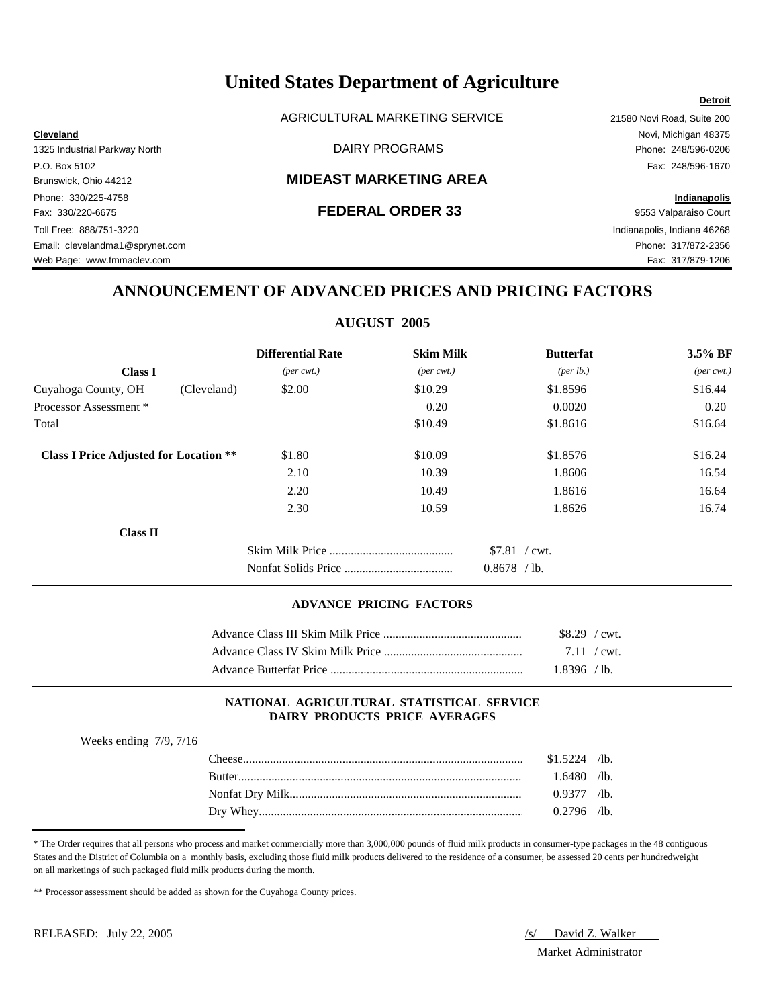AGRICULTURAL MARKETING SERVICE 21580 Novi Road, Suite 200

# Brunswick, Ohio 44212 **MIDEAST MARKETING AREA**

Phone: 330/225-4758 **Indianapolis** Fax: 330/220-6675 **FEDERAL ORDER 33** 9553 Valparaiso Court Toll Free: 888/751-3220 Indianapolis, Indiana 46268 Email: clevelandma1@sprynet.com Phone: 317/872-2356 Web Page: www.fmmaclev.com example of the example of the example of the example of the example of the example of the example of the example of the example of the example of the example of the example of the example of the

# **Cleveland** Novi, Michigan 48375 1325 Industrial Parkway North DAIRY PROGRAMS Phone: 248/596-0206 P.O. Box 5102 Fax: 248/596-1670

**Detroit**

# **ANNOUNCEMENT OF ADVANCED PRICES AND PRICING FACTORS**

# **AUGUST 2005**

|                                               | <b>Differential Rate</b>    | <b>Skim Milk</b>            | <b>Butterfat</b> | $3.5\%$ BF                  |
|-----------------------------------------------|-----------------------------|-----------------------------|------------------|-----------------------------|
| <b>Class I</b>                                | $(\text{per} \text{ cwt.})$ | $(\text{per} \text{ cwt.})$ | (per lb.)        | $(\text{per} \text{ cwt.})$ |
| Cuyahoga County, OH<br>(Cleveland)            | \$2.00                      | \$10.29                     | \$1.8596         | \$16.44                     |
| Processor Assessment *                        |                             | 0.20                        | 0.0020           | 0.20                        |
| Total                                         |                             | \$10.49                     | \$1.8616         | \$16.64                     |
| <b>Class I Price Adjusted for Location **</b> | \$1.80                      | \$10.09                     | \$1.8576         | \$16.24                     |
|                                               | 2.10                        | 10.39                       | 1.8606           | 16.54                       |
|                                               | 2.20                        | 10.49                       | 1.8616           | 16.64                       |
|                                               | 2.30                        | 10.59                       | 1.8626           | 16.74                       |
| <b>Class II</b>                               |                             |                             |                  |                             |
|                                               |                             |                             | $$7.81$ / cwt.   |                             |
|                                               |                             |                             | $0.8678$ /lb.    |                             |

### **ADVANCE PRICING FACTORS**

| $$8.29$ / cwt.        |
|-----------------------|
| $7.11 / \text{cwt}$ . |
| 1.8396 / lb.          |

## **NATIONAL AGRICULTURAL STATISTICAL SERVICE DAIRY PRODUCTS PRICE AVERAGES**

Weeks ending 7/9, 7/16

| $The \epsilon$ | \$1.5224 | $\sqrt{1}$ b. |
|----------------|----------|---------------|
| <b>Butter</b>  | .6480    | $\sqrt{1}$ b. |
|                |          | $\sqrt{1}$ b. |
| Whey<br>Drv    | `796     | $/1b$ .       |

<sup>\*</sup> The Order requires that all persons who process and market commercially more than 3,000,000 pounds of fluid milk products in consumer-type packages in the 48 contiguous States and the District of Columbia on a monthly basis, excluding those fluid milk products delivered to the residence of a consumer, be assessed 20 cents per hundredweight on all marketings of such packaged fluid milk products during the month.

<sup>\*\*</sup> Processor assessment should be added as shown for the Cuyahoga County prices.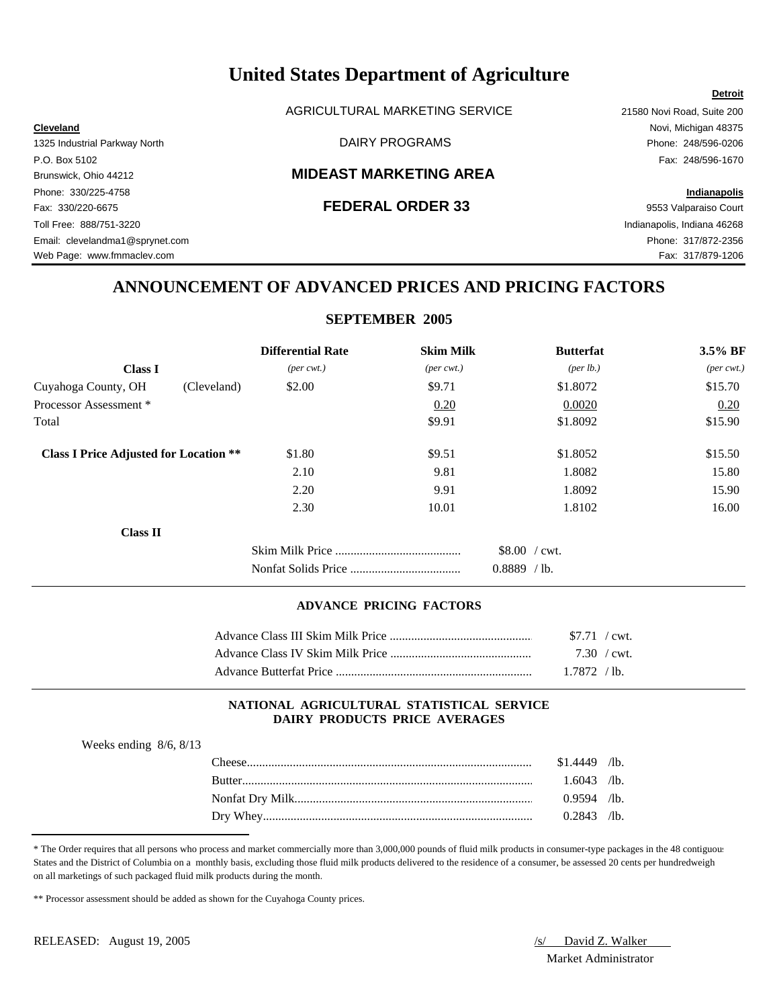AGRICULTURAL MARKETING SERVICE 21580 Novi Road, Suite 200

**Cleveland** Novi, Michigan 48375 1325 Industrial Parkway North DAIRY PROGRAMS Phone: 248/596-0206

### P.O. Box 5102 Fax: 248/596-1670 Brunswick, Ohio 44212 **MIDEAST MARKETING AREA**

Phone: 330/225-4758 **Indianapolis** Fax: 330/220-6675 **FEDERAL ORDER 33** 9553 Valparaiso Court Toll Free: 888/751-3220 Indianapolis, Indiana 46268 Email: clevelandma1@sprynet.com Phone: 317/872-2356 Web Page: www.fmmaclev.com Fax: 317/879-1206

**Detroit**

# **ANNOUNCEMENT OF ADVANCED PRICES AND PRICING FACTORS**

# **SEPTEMBER 2005**

|                                               |             | <b>Differential Rate</b>    | <b>Skim Milk</b>            | <b>Butterfat</b>                   | 3.5% BF                     |
|-----------------------------------------------|-------------|-----------------------------|-----------------------------|------------------------------------|-----------------------------|
| <b>Class I</b>                                |             | $(\text{per} \text{ cwt.})$ | $(\text{per} \text{ cwt.})$ | (per lb.)                          | $(\text{per} \text{ cwt.})$ |
| Cuyahoga County, OH                           | (Cleveland) | \$2.00                      | \$9.71                      | \$1.8072                           | \$15.70                     |
| Processor Assessment *                        |             |                             | 0.20                        | 0.0020                             | 0.20                        |
| Total                                         |             |                             | \$9.91                      | \$1.8092                           | \$15.90                     |
| <b>Class I Price Adjusted for Location **</b> |             | \$1.80                      | \$9.51                      | \$1.8052                           | \$15.50                     |
|                                               |             | 2.10                        | 9.81                        | 1.8082                             | 15.80                       |
|                                               |             | 2.20                        | 9.91                        | 1.8092                             | 15.90                       |
|                                               |             | 2.30                        | 10.01                       | 1.8102                             | 16.00                       |
| <b>Class II</b>                               |             |                             |                             |                                    |                             |
|                                               |             |                             |                             | \$8.00 / cwt.<br>0.8889<br>$/$ lb. |                             |

## **ADVANCE PRICING FACTORS**

| $$7.71$ / cwt.        |  |
|-----------------------|--|
| $7.30 / \text{cwt}$ . |  |
| 1.7872 / lb.          |  |

## **NATIONAL AGRICULTURAL STATISTICAL SERVICE DAIRY PRODUCTS PRICE AVERAGES**

| Weeks ending $8/6$ , $8/13$ |  |  |
|-----------------------------|--|--|
|                             |  |  |

| `heese   | .4449  | $\mathcal{A}$ b. |
|----------|--------|------------------|
| Rutter   | .6043  | $\sqrt{1}$ b.    |
|          | 0.9594 | $\sqrt{1}$ b.    |
| Dry Whey | 2843   | $\sqrt{1}$ b.    |

\* The Order requires that all persons who process and market commercially more than 3,000,000 pounds of fluid milk products in consumer-type packages in the 48 contiguous States and the District of Columbia on a monthly basis, excluding those fluid milk products delivered to the residence of a consumer, be assessed 20 cents per hundredweight on all marketings of such packaged fluid milk products during the month.

\*\* Processor assessment should be added as shown for the Cuyahoga County prices.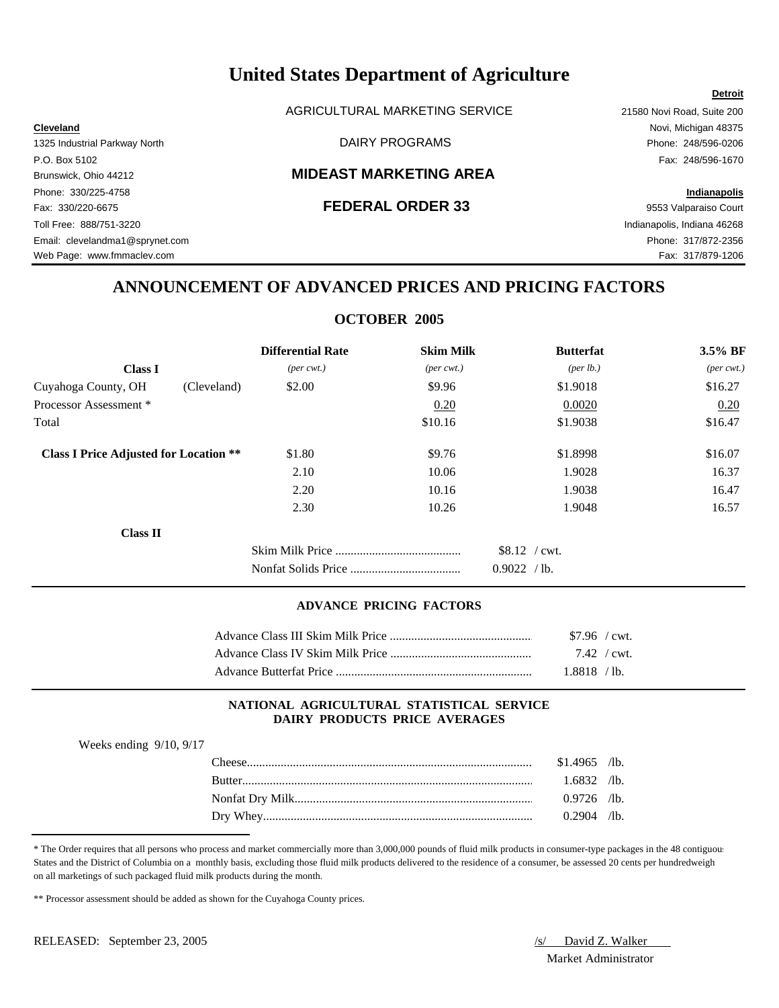AGRICULTURAL MARKETING SERVICE 21580 Novi Road, Suite 200

# Brunswick, Ohio 44212 **MIDEAST MARKETING AREA**

Phone: 330/225-4758 **Indianapolis** Fax: 330/220-6675 **FEDERAL ORDER 33** 9553 Valparaiso Court Toll Free: 888/751-3220 Indianapolis, Indiana 46268 Email: clevelandma1@sprynet.com Phone: 317/872-2356 Web Page: www.fmmaclev.com **Fax: 317/879-1206** 

**Cleveland** Novi, Michigan 48375 1325 Industrial Parkway North **Example 248/596-0206** DAIRY PROGRAMS **Phone: 248/596-0206** P.O. Box 5102 Fax: 248/596-1670

**Detroit**

# **ANNOUNCEMENT OF ADVANCED PRICES AND PRICING FACTORS**

# **OCTOBER 2005**

|                                               |             | <b>Differential Rate</b>    | <b>Skim Milk</b>            | <b>Butterfat</b>                    | 3.5% BF                     |
|-----------------------------------------------|-------------|-----------------------------|-----------------------------|-------------------------------------|-----------------------------|
| <b>Class I</b>                                |             | $(\text{per} \text{ cwt.})$ | $(\text{per} \text{ cwt.})$ | (per lb.)                           | $(\text{per} \text{ cwt.})$ |
| Cuyahoga County, OH                           | (Cleveland) | \$2.00                      | \$9.96                      | \$1.9018                            | \$16.27                     |
| Processor Assessment *                        |             |                             | 0.20                        | 0.0020                              | 0.20                        |
| Total                                         |             |                             | \$10.16                     | \$1.9038                            | \$16.47                     |
| <b>Class I Price Adjusted for Location **</b> |             | \$1.80                      | \$9.76                      | \$1.8998                            | \$16.07                     |
|                                               |             | 2.10                        | 10.06                       | 1.9028                              | 16.37                       |
|                                               |             | 2.20                        | 10.16                       | 1.9038                              | 16.47                       |
|                                               |             | 2.30                        | 10.26                       | 1.9048                              | 16.57                       |
| <b>Class II</b>                               |             |                             |                             |                                     |                             |
|                                               |             |                             |                             | $$8.12$ / cwt.<br>0.9022<br>$/$ lb. |                             |

# **ADVANCE PRICING FACTORS**

| $$7.96$ / cwt. |  |
|----------------|--|
| 7.42 / cwt.    |  |
| 1.8818 / lb.   |  |

## **NATIONAL AGRICULTURAL STATISTICAL SERVICE DAIRY PRODUCTS PRICE AVERAGES**

| Weeks ending $9/10$ , $9/17$ |  |
|------------------------------|--|
|------------------------------|--|

| `heese        | \$1.4965 | $/1b$ .       |
|---------------|----------|---------------|
| <b>Butter</b> | .6832    | $\sqrt{1}$ b. |
|               | 0.9726   | $\sqrt{1}$ b. |
| Drv.          | 0.2904   | $\sqrt{1}$ b. |

\* The Order requires that all persons who process and market commercially more than 3,000,000 pounds of fluid milk products in consumer-type packages in the 48 contiguous States and the District of Columbia on a monthly basis, excluding those fluid milk products delivered to the residence of a consumer, be assessed 20 cents per hundredweight on all marketings of such packaged fluid milk products during the month.

\*\* Processor assessment should be added as shown for the Cuyahoga County prices.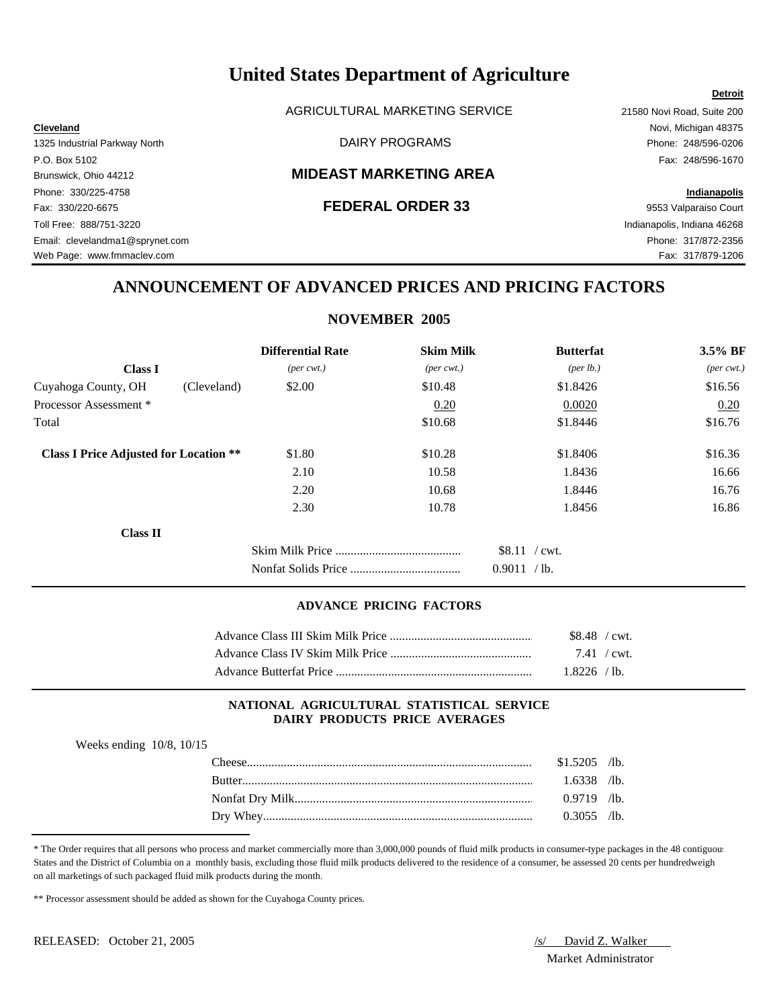AGRICULTURAL MARKETING SERVICE 21580 Novi Road, Suite 200

**Cleveland** Novi, Michigan 48375 1325 Industrial Parkway North **Example 248/596-0206** DAIRY PROGRAMS **Phone: 248/596-0206** 

### P.O. Box 5102 Fax: 248/596-1670 Brunswick, Ohio 44212 **MIDEAST MARKETING AREA**

Phone: 330/225-4758 **Indianapolis** Fax: 330/220-6675 **FEDERAL ORDER 33** 9553 Valparaiso Court Toll Free: 888/751-3220 Indianapolis, Indiana 46268 Email: clevelandma1@sprynet.com Phone: 317/872-2356 Web Page: www.fmmaclev.com **Fax: 317/879-1206** 

# **ANNOUNCEMENT OF ADVANCED PRICES AND PRICING FACTORS**

# **NOVEMBER 2005**

|                                               |             | <b>Differential Rate</b>    | <b>Skim Milk</b>            | <b>Butterfat</b>                    | 3.5% BF                     |
|-----------------------------------------------|-------------|-----------------------------|-----------------------------|-------------------------------------|-----------------------------|
| <b>Class I</b>                                |             | $(\text{per} \text{ cwt.})$ | $(\text{per} \text{ cwt.})$ | ${\rm (per \, lb.)}$                | $(\text{per} \text{ cwt.})$ |
| Cuyahoga County, OH                           | (Cleveland) | \$2.00                      | \$10.48                     | \$1.8426                            | \$16.56                     |
| Processor Assessment *                        |             |                             | 0.20                        | 0.0020                              | 0.20                        |
| Total                                         |             |                             | \$10.68                     | \$1.8446                            | \$16.76                     |
| <b>Class I Price Adjusted for Location **</b> |             | \$1.80                      | \$10.28                     | \$1.8406                            | \$16.36                     |
|                                               |             | 2.10                        | 10.58                       | 1.8436                              | 16.66                       |
|                                               |             | 2.20                        | 10.68                       | 1.8446                              | 16.76                       |
|                                               |             | 2.30                        | 10.78                       | 1.8456                              | 16.86                       |
| <b>Class II</b>                               |             |                             |                             |                                     |                             |
|                                               |             |                             |                             | $$8.11$ / cwt.<br>0.9011<br>$/$ lb. |                             |

## **ADVANCE PRICING FACTORS**

| \$8.48 / cwt. |  |
|---------------|--|
| 7.41 / cwt.   |  |
| $1.8226$ /lb. |  |

## **NATIONAL AGRICULTURAL STATISTICAL SERVICE DAIRY PRODUCTS PRICE AVERAGES**

| Weeks ending $10/8$ , $10/15$ |  |
|-------------------------------|--|
|-------------------------------|--|

| <b>DAPCA</b>  | \$1.5205 | $\mathcal{A}$ b. |
|---------------|----------|------------------|
| <b>Rutter</b> | .6338    | $\sqrt{1}$ b.    |
|               | 0.9719   | $\sqrt{1}$ b.    |
| Whey<br>Drv   | .3055    | $\sqrt{1}$ b.    |

\* The Order requires that all persons who process and market commercially more than 3,000,000 pounds of fluid milk products in consumer-type packages in the 48 contiguous States and the District of Columbia on a monthly basis, excluding those fluid milk products delivered to the residence of a consumer, be assessed 20 cents per hundredweight on all marketings of such packaged fluid milk products during the month.

\*\* Processor assessment should be added as shown for the Cuyahoga County prices.

Market Administrator

### **Detroit**